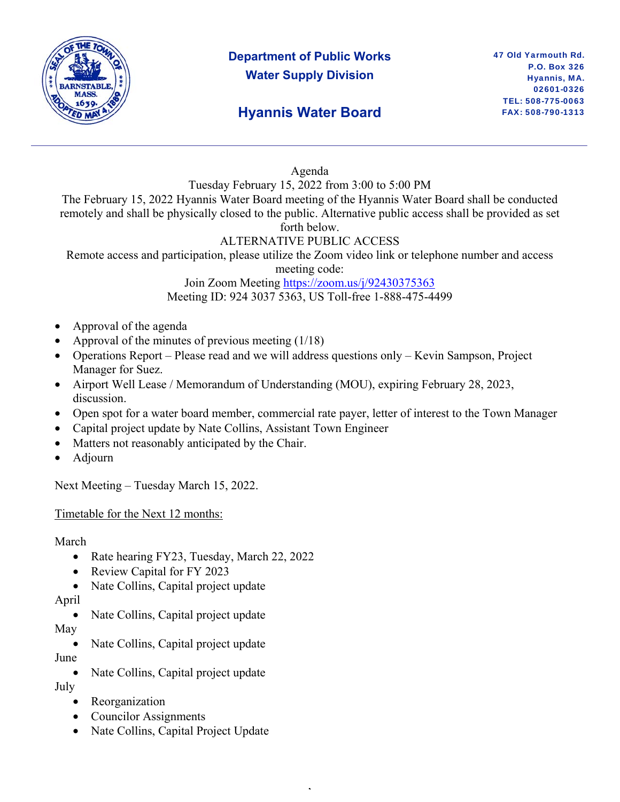

# **Department of Public Works Water Supply Division**

# **Hyannis Water Board**

#### Agenda

Tuesday February 15, 2022 from 3:00 to 5:00 PM

The February 15, 2022 Hyannis Water Board meeting of the Hyannis Water Board shall be conducted remotely and shall be physically closed to the public. Alternative public access shall be provided as set forth below.

## ALTERNATIVE PUBLIC ACCESS

Remote access and participation, please utilize the Zoom video link or telephone number and access

meeting code:

Join Zoom Meeting https://zoom.us/j/92430375363 Meeting ID: 924 3037 5363, US Toll-free 1-888-475-4499

- Approval of the agenda
- Approval of the minutes of previous meeting  $(1/18)$
- Operations Report Please read and we will address questions only Kevin Sampson, Project Manager for Suez.
- Airport Well Lease / Memorandum of Understanding (MOU), expiring February 28, 2023, discussion.
- Open spot for a water board member, commercial rate payer, letter of interest to the Town Manager

,

- Capital project update by Nate Collins, Assistant Town Engineer
- Matters not reasonably anticipated by the Chair.
- Adjourn

Next Meeting – Tuesday March 15, 2022.

Timetable for the Next 12 months:

March

- Rate hearing FY23, Tuesday, March 22, 2022
- Review Capital for FY 2023
- Nate Collins, Capital project update

April

Nate Collins, Capital project update

May

Nate Collins, Capital project update

June

• Nate Collins, Capital project update

July

- Reorganization
- Councilor Assignments
- Nate Collins, Capital Project Update